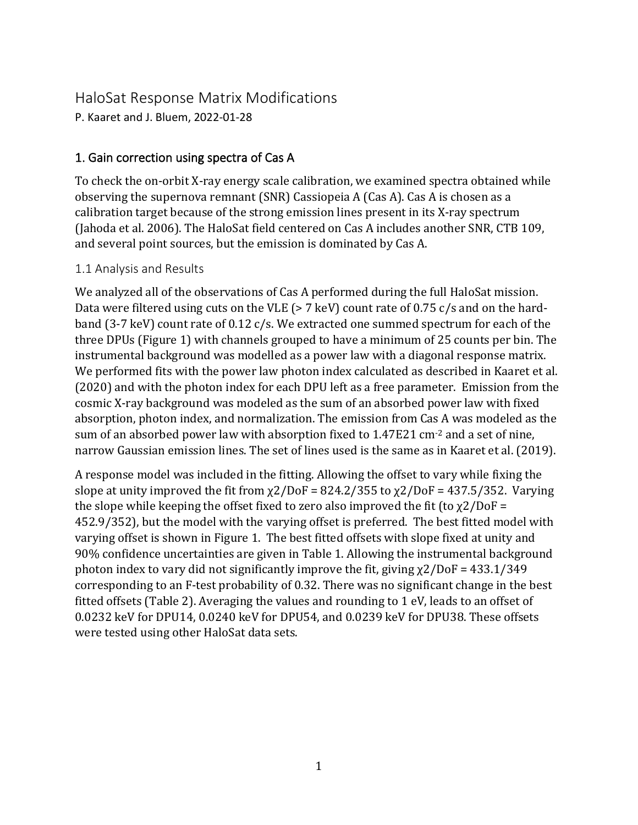# HaloSat Response Matrix Modifications

P. Kaaret and J. Bluem, 2022-01-28

## 1. Gain correction using spectra of Cas A

To check the on-orbit X-ray energy scale calibration, we examined spectra obtained while observing the supernova remnant (SNR) Cassiopeia A (Cas A). Cas A is chosen as a calibration target because of the strong emission lines present in its X-ray spectrum (Jahoda et al. 2006). The HaloSat field centered on Cas A includes another SNR, CTB 109, and several point sources, but the emission is dominated by Cas A.

### 1.1 Analysis and Results

We analyzed all of the observations of Cas A performed during the full HaloSat mission. Data were filtered using cuts on the VLE (> 7 keV) count rate of 0.75 c/s and on the hardband (3-7 keV) count rate of 0.12 c/s. We extracted one summed spectrum for each of the three DPUs (Figure 1) with channels grouped to have a minimum of 25 counts per bin. The instrumental background was modelled as a power law with a diagonal response matrix. We performed fits with the power law photon index calculated as described in Kaaret et al. (2020) and with the photon index for each DPU left as a free parameter. Emission from the cosmic X-ray background was modeled as the sum of an absorbed power law with fixed absorption, photon index, and normalization. The emission from Cas A was modeled as the sum of an absorbed power law with absorption fixed to  $1.47E21$  cm<sup>-2</sup> and a set of nine, narrow Gaussian emission lines. The set of lines used is the same as in Kaaret et al. (2019).

A response model was included in the fitting. Allowing the offset to vary while fixing the slope at unity improved the fit from  $\chi$ 2/DoF = 824.2/355 to  $\chi$ 2/DoF = 437.5/352. Varying the slope while keeping the offset fixed to zero also improved the fit (to  $\chi$ 2/DoF = 452.9/352), but the model with the varying offset is preferred. The best fitted model with varying offset is shown in Figure 1. The best fitted offsets with slope fixed at unity and 90% confidence uncertainties are given in Table 1. Allowing the instrumental background photon index to vary did not significantly improve the fit, giving  $\chi$ 2/DoF = 433.1/349 corresponding to an F-test probability of 0.32. There was no significant change in the best fitted offsets (Table 2). Averaging the values and rounding to 1 eV, leads to an offset of 0.0232 keV for DPU14, 0.0240 keV for DPU54, and 0.0239 keV for DPU38. These offsets were tested using other HaloSat data sets.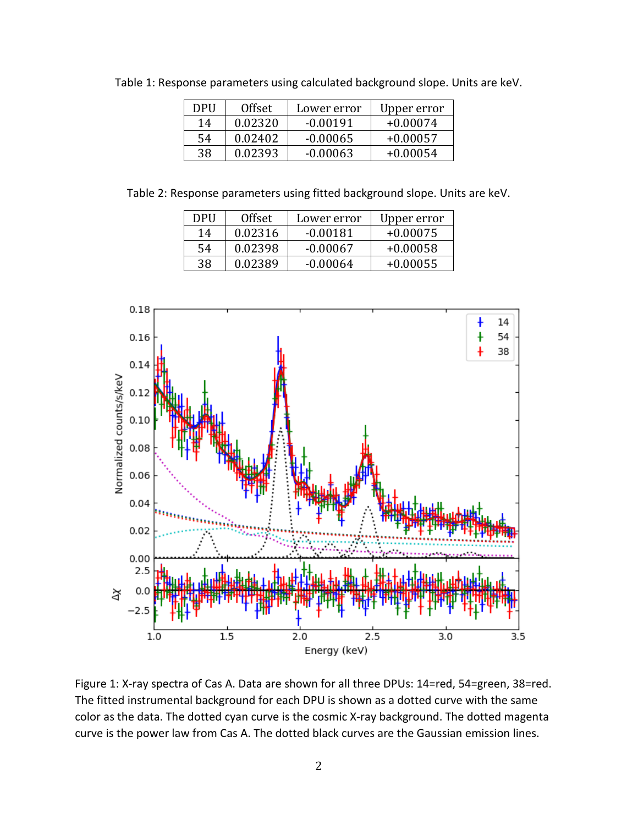| DPU | <b>Offset</b> | Lower error | Upper error |
|-----|---------------|-------------|-------------|
| 14  | 0.02320       | $-0.00191$  | $+0.00074$  |
| 54  | 0.02402       | $-0.00065$  | $+0.00057$  |
| 38  | 0.02393       | $-0.00063$  | $+0.00054$  |
|     |               |             |             |

Table 1: Response parameters using calculated background slope. Units are keV.

Table 2: Response parameters using fitted background slope. Units are keV.

| DPU | <b>Offset</b> | Lower error | Upper error |
|-----|---------------|-------------|-------------|
| 14  | 0.02316       | $-0.00181$  | $+0.00075$  |
| 54  | 0.02398       | $-0.00067$  | $+0.00058$  |
| 38  | 0.02389       | $-0.00064$  | $+0.00055$  |



Figure 1: X-ray spectra of Cas A. Data are shown for all three DPUs: 14=red, 54=green, 38=red. The fitted instrumental background for each DPU is shown as a dotted curve with the same color as the data. The dotted cyan curve is the cosmic X-ray background. The dotted magenta curve is the power law from Cas A. The dotted black curves are the Gaussian emission lines.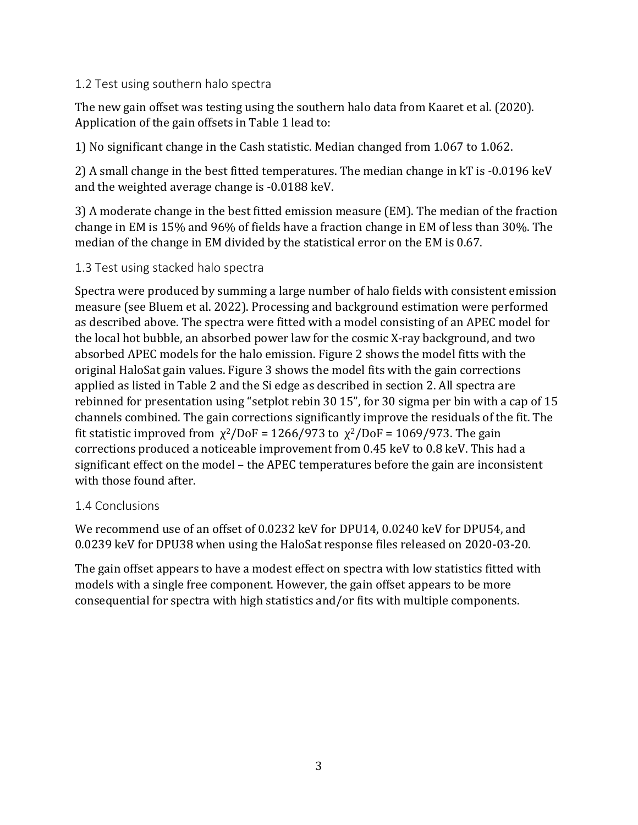#### 1.2 Test using southern halo spectra

The new gain offset was testing using the southern halo data from Kaaret et al. (2020). Application of the gain offsets in Table 1 lead to:

1) No significant change in the Cash statistic. Median changed from 1.067 to 1.062.

2) A small change in the best fitted temperatures. The median change in kT is -0.0196 keV and the weighted average change is -0.0188 keV.

3) A moderate change in the best fitted emission measure (EM). The median of the fraction change in EM is 15% and 96% of fields have a fraction change in EM of less than 30%. The median of the change in EM divided by the statistical error on the EM is 0.67.

#### 1.3 Test using stacked halo spectra

Spectra were produced by summing a large number of halo fields with consistent emission measure (see Bluem et al. 2022). Processing and background estimation were performed as described above. The spectra were fitted with a model consisting of an APEC model for the local hot bubble, an absorbed power law for the cosmic X-ray background, and two absorbed APEC models for the halo emission. Figure 2 shows the model fitts with the original HaloSat gain values. Figure 3 shows the model fits with the gain corrections applied as listed in Table 2 and the Si edge as described in section 2. All spectra are rebinned for presentation using "setplot rebin 30 15", for 30 sigma per bin with a cap of 15 channels combined. The gain corrections significantly improve the residuals of the fit. The fit statistic improved from  $\chi^2/DoF = 1266/973$  to  $\chi^2/DoF = 1069/973$ . The gain corrections produced a noticeable improvement from 0.45 keV to 0.8 keV. This had a significant effect on the model – the APEC temperatures before the gain are inconsistent with those found after.

#### 1.4 Conclusions

We recommend use of an offset of 0.0232 keV for DPU14, 0.0240 keV for DPU54, and 0.0239 keV for DPU38 when using the HaloSat response files released on 2020-03-20.

The gain offset appears to have a modest effect on spectra with low statistics fitted with models with a single free component. However, the gain offset appears to be more consequential for spectra with high statistics and/or fits with multiple components.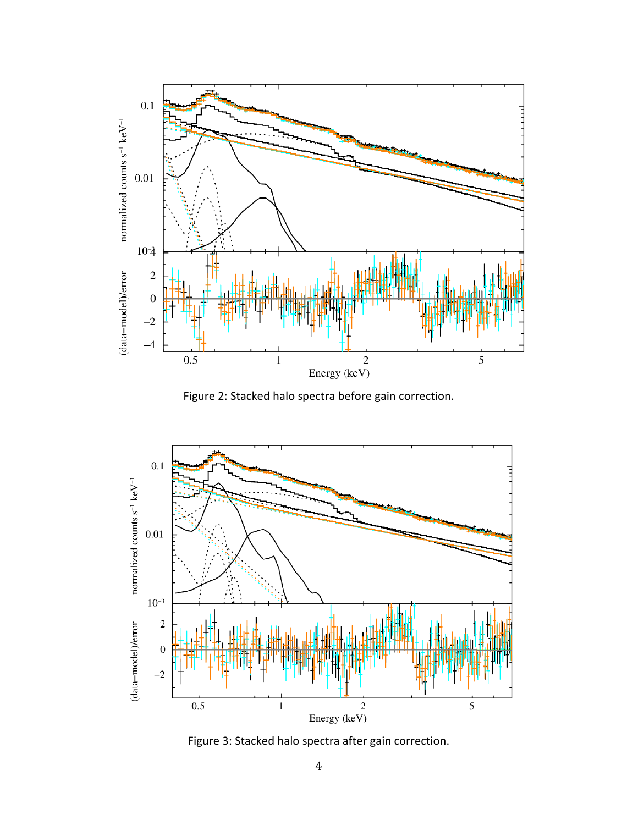

Figure 2: Stacked halo spectra before gain correction.



Figure 3: Stacked halo spectra after gain correction.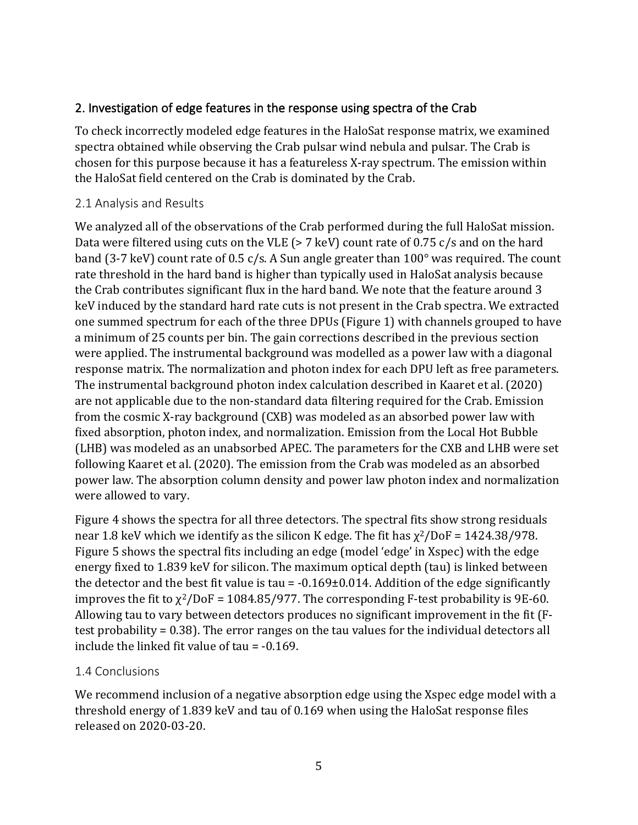## 2. Investigation of edge features in the response using spectra of the Crab

To check incorrectly modeled edge features in the HaloSat response matrix, we examined spectra obtained while observing the Crab pulsar wind nebula and pulsar. The Crab is chosen for this purpose because it has a featureless X-ray spectrum. The emission within the HaloSat field centered on the Crab is dominated by the Crab.

#### 2.1 Analysis and Results

We analyzed all of the observations of the Crab performed during the full HaloSat mission. Data were filtered using cuts on the VLE ( $> 7$  keV) count rate of 0.75 c/s and on the hard band (3-7 keV) count rate of 0.5 c/s. A Sun angle greater than 100° was required. The count rate threshold in the hard band is higher than typically used in HaloSat analysis because the Crab contributes significant flux in the hard band. We note that the feature around 3 keV induced by the standard hard rate cuts is not present in the Crab spectra. We extracted one summed spectrum for each of the three DPUs (Figure 1) with channels grouped to have a minimum of 25 counts per bin. The gain corrections described in the previous section were applied. The instrumental background was modelled as a power law with a diagonal response matrix. The normalization and photon index for each DPU left as free parameters. The instrumental background photon index calculation described in Kaaret et al. (2020) are not applicable due to the non-standard data filtering required for the Crab. Emission from the cosmic X-ray background (CXB) was modeled as an absorbed power law with fixed absorption, photon index, and normalization. Emission from the Local Hot Bubble (LHB) was modeled as an unabsorbed APEC. The parameters for the CXB and LHB were set following Kaaret et al. (2020). The emission from the Crab was modeled as an absorbed power law. The absorption column density and power law photon index and normalization were allowed to vary.

Figure 4 shows the spectra for all three detectors. The spectral fits show strong residuals near 1.8 keV which we identify as the silicon K edge. The fit has  $\chi^2$ /DoF = 1424.38/978. Figure 5 shows the spectral fits including an edge (model 'edge' in Xspec) with the edge energy fixed to 1.839 keV for silicon. The maximum optical depth (tau) is linked between the detector and the best fit value is tau  $= -0.169 \pm 0.014$ . Addition of the edge significantly improves the fit to  $\chi^2$ /DoF = 1084.85/977. The corresponding F-test probability is 9E-60. Allowing tau to vary between detectors produces no significant improvement in the fit (Ftest probability = 0.38). The error ranges on the tau values for the individual detectors all include the linked fit value of tau = -0.169.

#### 1.4 Conclusions

We recommend inclusion of a negative absorption edge using the Xspec edge model with a threshold energy of 1.839 keV and tau of 0.169 when using the HaloSat response files released on 2020-03-20.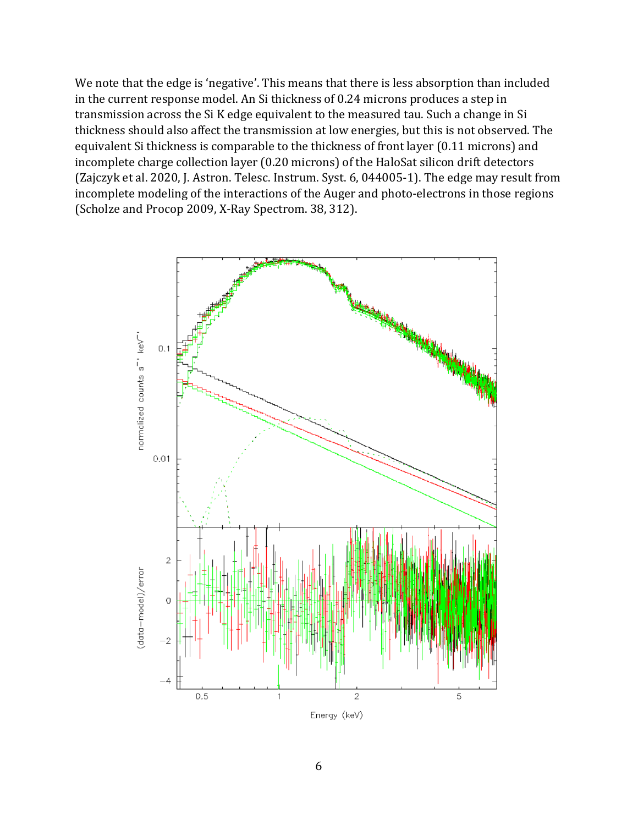We note that the edge is 'negative'. This means that there is less absorption than included in the current response model. An Si thickness of 0.24 microns produces a step in transmission across the Si K edge equivalent to the measured tau. Such a change in Si thickness should also affect the transmission at low energies, but this is not observed. The equivalent Si thickness is comparable to the thickness of front layer (0.11 microns) and incomplete charge collection layer (0.20 microns) of the HaloSat silicon drift detectors (Zajczyk et al. 2020, J. Astron. Telesc. Instrum. Syst. 6, 044005-1). The edge may result from incomplete modeling of the interactions of the Auger and photo-electrons in those regions (Scholze and Procop 2009, X-Ray Spectrom. 38, 312).